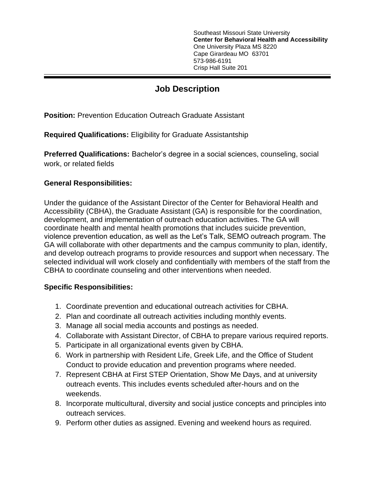Southeast Missouri State University **Center for Behavioral Health and Accessibility** One University Plaza MS 8220 Cape Girardeau MO 63701 573-986-6191 Crisp Hall Suite 201

## **Job Description**

**Position: Prevention Education Outreach Graduate Assistant** 

**Required Qualifications:** Eligibility for Graduate Assistantship

**Preferred Qualifications:** Bachelor's degree in a social sciences, counseling, social work, or related fields

## **General Responsibilities:**

Under the guidance of the Assistant Director of the Center for Behavioral Health and Accessibility (CBHA), the Graduate Assistant (GA) is responsible for the coordination, development, and implementation of outreach education activities. The GA will coordinate health and mental health promotions that includes suicide prevention, violence prevention education, as well as the Let's Talk, SEMO outreach program. The GA will collaborate with other departments and the campus community to plan, identify, and develop outreach programs to provide resources and support when necessary. The selected individual will work closely and confidentially with members of the staff from the CBHA to coordinate counseling and other interventions when needed.

## **Specific Responsibilities:**

- 1. Coordinate prevention and educational outreach activities for CBHA.
- 2. Plan and coordinate all outreach activities including monthly events.
- 3. Manage all social media accounts and postings as needed.
- 4. Collaborate with Assistant Director, of CBHA to prepare various required reports.
- 5. Participate in all organizational events given by CBHA.
- 6. Work in partnership with Resident Life, Greek Life, and the Office of Student Conduct to provide education and prevention programs where needed.
- 7. Represent CBHA at First STEP Orientation, Show Me Days, and at university outreach events. This includes events scheduled after-hours and on the weekends.
- 8. Incorporate multicultural, diversity and social justice concepts and principles into outreach services.
- 9. Perform other duties as assigned. Evening and weekend hours as required.